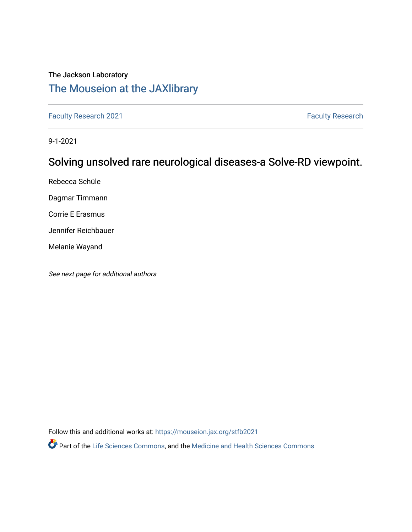# The Jackson Laboratory

# [The Mouseion at the JAXlibrary](https://mouseion.jax.org/)

[Faculty Research 2021](https://mouseion.jax.org/stfb2021) **Faculty Research** 2021

9-1-2021

# Solving unsolved rare neurological diseases-a Solve-RD viewpoint.

Rebecca Schüle

Dagmar Timmann

Corrie E Erasmus

Jennifer Reichbauer

Melanie Wayand

See next page for additional authors

Follow this and additional works at: [https://mouseion.jax.org/stfb2021](https://mouseion.jax.org/stfb2021?utm_source=mouseion.jax.org%2Fstfb2021%2F284&utm_medium=PDF&utm_campaign=PDFCoverPages)

Part of the [Life Sciences Commons,](http://network.bepress.com/hgg/discipline/1016?utm_source=mouseion.jax.org%2Fstfb2021%2F284&utm_medium=PDF&utm_campaign=PDFCoverPages) and the [Medicine and Health Sciences Commons](http://network.bepress.com/hgg/discipline/648?utm_source=mouseion.jax.org%2Fstfb2021%2F284&utm_medium=PDF&utm_campaign=PDFCoverPages)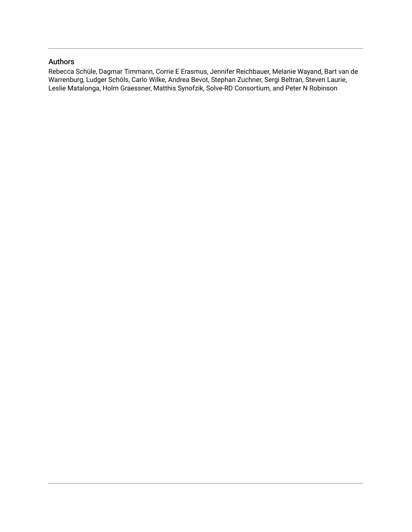# Authors

Rebecca Schüle, Dagmar Timmann, Corrie E Erasmus, Jennifer Reichbauer, Melanie Wayand, Bart van de Warrenburg, Ludger Schöls, Carlo Wilke, Andrea Bevot, Stephan Zuchner, Sergi Beltran, Steven Laurie, Leslie Matalonga, Holm Graessner, Matthis Synofzik, Solve-RD Consortium, and Peter N Robinson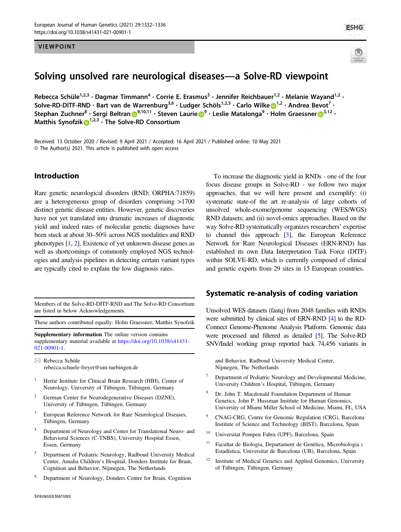#### VIEWPOINT



**ESHG** 

# Solving unsolved rare neurological diseases—a Solve-RD viewpoint

Rebecca Schüle<sup>1,2,3</sup> • Dagmar Timmann<sup>4</sup> • Corrie E. Erasmus<sup>5</sup> • Jennifer Reichbauer<sup>1,2</sup> • Melanie Wayand<sup>1,2</sup> • Solve-RD-DITF-RND  $\cdot$  Bart van de Warrenburg<sup>3,6</sup>  $\cdot$  Ludger Schöls<sup>[1](http://orcid.org/0000-0002-7250-8597),2,3</sup>  $\cdot$  Carlo Wilke  $\bigcirc$ <sup>1,2</sup>  $\cdot$  Andrea Bevot<sup>7</sup>  $\cdot$ Stepha[n](http://orcid.org/0000-0002-2810-3445) Zuchner<sup>8</sup> • Sergi Beltran D<sup>[9](http://orcid.org/0000-0003-3913-5829),10,11</sup> • Steven Laurie D<sup>9</sup> • Leslie Matalonga<sup>9</sup> • Holm Graessner D<sup>[3](http://orcid.org/0000-0001-9803-7183),12</sup> • Matthis Synofzi[k](http://orcid.org/0000-0002-2280-7273) <sup>[1](http://orcid.org/0000-0002-2280-7273),2,3</sup> · The Solve-RD Consortium

Received: 13 October 2020 / Revised: 9 April 2021 / Accepted: 16 April 2021 / Published online: 10 May 2021 © The Author(s) 2021. This article is published with open access

## Introduction

Rare genetic neurological disorders (RND; ORPHA:71859) are a heterogeneous group of disorders comprising >1700 distinct genetic disease entities. However, genetic discoveries have not yet translated into dramatic increases of diagnostic yield and indeed rates of molecular genetic diagnoses have been stuck at about 30–50% across NGS modalities and RND phenotypes [[1](#page-6-0), [2](#page-6-0)]. Existence of yet unknown disease genes as well as shortcomings of commonly employed NGS technologies and analysis pipelines in detecting certain variant types are typically cited to explain the low diagnosis rates.

Members of the Solve-RD-DITF-RND and The Solve-RD Consortium are listed in below Acknowledgements.

These authors contributed equally: Holm Graessner, Matthis Synofzik

Supplementary information The online version contains supplementary material available at [https://doi.org/10.1038/s41431-](https://doi.org/10.1038/s41431-021-00901-1) [021-00901-1.](https://doi.org/10.1038/s41431-021-00901-1)

 $\boxtimes$  Rebecca Schüle [rebecca.schuele-freyer@uni-tuebingen.de](mailto:rebecca.schuele-freyer@uni-tuebingen.de)

- <sup>1</sup> Hertie Institute for Clinical Brain Research (HIH), Center of Neurology, University of Tübingen, Tübingen, Germany
- <sup>2</sup> German Center for Neurodegenerative Diseases (DZNE), University of Tübingen, Tübingen, Germany
- <sup>3</sup> European Reference Network for Rare Neurological Diseases, Tübingen, Germany
- <sup>4</sup> Department of Neurology and Center for Translational Neuro- and Behavioral Sciences (C-TNBS), University Hospital Essen, Essen, Germany
- <sup>5</sup> Department of Pediatric Neurology, Radboud University Medical Center, Amalia Children's Hospital, Donders Institute for Brain, Cognition and Behavior, Nijmegen, The Netherlands
- <sup>6</sup> Department of Neurology, Donders Centre for Brain, Cognition

To increase the diagnostic yield in RNDs - one of the four focus disease groups in Solve-RD - we follow two major approaches, that we will here present and exemplify: (i) systematic state-of the art re-analysis of large cohorts of unsolved whole-exome/genome sequencing (WES/WGS) RND datasets; and (ii) novel-omics approaches. Based on the way Solve-RD systematically organizes researchers' expertise to channel this approach [[3\]](#page-6-0), the European Reference Network for Rare Neurological Diseases (ERN-RND) has established its own Data Interpretation Task Force (DITF) within SOLVE-RD, which is currently composed of clinical and genetic experts from 29 sites in 15 European countries.

### Systematic re-analysis of coding variation

Unsolved WES datasets (fastq) from 2048 families with RNDs were submitted by clinical sites of ERN-RND [\[4\]](#page-6-0) to the RD-Connect Genome-Phenome Analysis Platform. Genomic data were processed and filtered as detailed [[5](#page-6-0)]. The Solve-RD SNV/Indel working group reported back 74,456 variants in

and Behavior, Radboud University Medical Center, Nijmegen, The Netherlands

- <sup>7</sup> Department of Pediatric Neurology and Developmental Medicine, University Children's Hospital, Tübingen, Germany
- Dr. John T. Macdonald Foundation Department of Human Genetics, John P. Hussman Institute for Human Genomics, University of Miami Miller School of Medicine, Miami, FL, USA
- <sup>9</sup> CNAG-CRG, Centre for Genomic Regulation (CRG), Barcelona Institute of Science and Technology (BIST), Barcelona, Spain
- <sup>10</sup> Universitat Pompeu Fabra (UPF), Barcelona, Spain
- <sup>11</sup> Facultat de Biologia, Departament de Genètica, Microbiologia i Estadística, Universitat de Barcelona (UB), Barcelona, Spain
- <sup>12</sup> Institute of Medical Genetics and Applied Genomics, University of Tübingen, Tübingen, Germany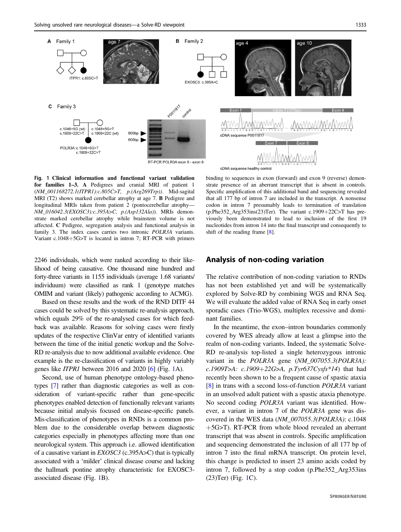

Fig. 1 Clinical information and functional variant validation for families 1–3. A Pedigrees and cranial MRI of patient 1 (NM\_001168272.1(ITPR1):c.805C>T, p.(Arg269Trp)). Mid-sagital MRI (T2) shows marked cerebellar atrophy at age 7. B Pedigree and longitudinal MRIs taken from patient 2 (pontocerebellar atrophy— NM\_016042.3(EXOSC3):c.395A>C, p.(Asp132Ala)). MRIs demonstrate marked cerebellar atrophy while brainstem volume is not affected. C Pedigree, segregation analysis and functional analysis in family 3. The index cases carries two intronic POLR3A variants. Variant c.1048+5G>T is located in intron 7; RT-PCR with primers

2246 individuals, which were ranked according to their likelihood of being causative. One thousand nine hundred and forty-three variants in 1155 individuals (average 1.68 variants/ individuum) were classified as rank 1 (genotype matches OMIM and variant (likely) pathogenic according to ACMG).

Based on these results and the work of the RND DITF 44 cases could be solved by this systematic re-analysis approach, which equals 29% of the re-analysed cases for which feedback was available. Reasons for solving cases were firstly updates of the respective ClinVar entry of identified variants between the time of the initial genetic workup and the Solve-RD re-analysis due to now additional available evidence. One example is the re-classification of variants in highly variably genes like ITPR1 between 2016 and 2020 [\[6\]](#page-6-0) (Fig. 1A).

Second, use of human phenotype ontology-based phenotypes [\[7\]](#page-6-0) rather than diagnostic categories as well as consideration of variant-specific rather than gene-specific phenotypes enabled detection of functionally relevant variants because initial analysis focused on disease-specific panels. Mis-classification of phenotypes in RNDs is a common problem due to the considerable overlap between diagnostic categories especially in phenotypes affecting more than one neurological system. This approach i.e. allowed identification of a causative variant in EXOSC3 (c.395A>C) that is typically associated with a 'milder' clinical disease course and lacking the hallmark pontine atrophy characteristic for EXOSC3 associated disease (Fig. 1B).

binding to sequences in exon (forward) and exon 9 (reverse) demonstrate presence of an aberrant transcript that is absent in controls. Specific amplification of this additional band and sequencing revealed that all 177 bp of intron 7 are included in the transcript. A nonsense codon in intron 7 presumably leads to termination of translation (p.Phe352\_Arg353ins(23)Ter). The variant c.1909+22C>T has previously been demonstrated to lead to inclusion of the first 19 nucleotides from intron 14 into the final transcript und consequently to shift of the reading frame [[8\]](#page-6-0).

### Analysis of non-coding variation

The relative contribution of non-coding variation to RNDs has not been established yet and will be systematically explored by Solve-RD by combining WGS and RNA Seq. We will evaluate the added value of RNA Seq in early onset sporadic cases (Trio-WGS), multiplex recessive and dominant families.

In the meantime, the exon–intron boundaries commonly covered by WES already allow at least a glimpse into the realm of non-coding variants. Indeed, the systematic Solve-RD re-analysis top-listed a single heterozygous intronic variant in the *POLR3A* gene (NM\_007055.3(POLR3A): c.1909T>A: c.1909+22G>A, p.Tyr637Cysfs\*14) that had recently been shown to be a frequent cause of spastic ataxia [\[8](#page-6-0)] in trans with a second loss-of-function *POLR3A* variant in an unsolved adult patient with a spastic ataxia phenotype. No second coding POLR3A variant was identified. However, a variant in intron 7 of the POLR3A gene was discovered in the WES data (NM\_007055.3(POLR3A): c.1048 +5G>T). RT-PCR from whole blood revealed an aberrant transcript that was absent in controls. Specific amplification and sequencing demonstrated the inclusion of all 177 bp of intron 7 into the final mRNA transcript. On protein level, this change is predicted to insert 23 amino acids coded by intron 7, followed by a stop codon (p.Phe352\_Arg353ins (23)Ter) (Fig. 1C).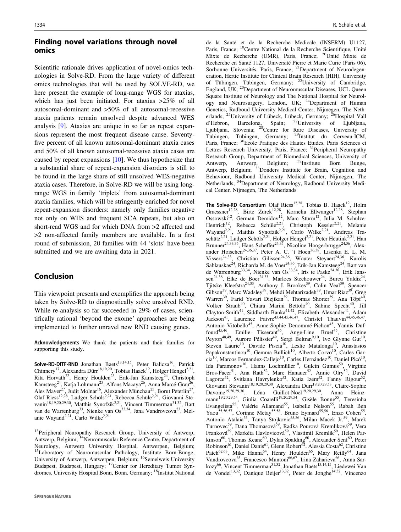## Finding novel variations through novel omics

Scientific rationale drives application of novel-omics technologies in Solve-RD. From the large variety of different omics technologies that will be used by SOLVE-RD, we here present the example of long-range WGS for ataxias, which has just been initiated. For ataxias  $>25\%$  of all autosomal-dominant and >50% of all autosomal-recessive ataxia patients remain unsolved despite advanced WES analysis [[9\]](#page-6-0). Ataxias are unique in so far as repeat expansions represent the most frequent disease cause. Seventyfive percent of all known autosomal-dominant ataxia cases and 50% of all known autosomal-recessive ataxia cases are caused by repeat expansions [\[10](#page-6-0)]. We thus hypothesize that a substantial share of repeat-expansion disorders is still to be found in the large share of still unsolved WES-negative ataxia cases. Therefore, in Solve-RD we will be using longrange WGS in family 'triplets' from autosomal-dominant ataxia families, which will be stringently enriched for novel repeat-expansion disorders: namely only families negative not only on WES and frequent SCA repeats, but also on short-read WGS and for which DNA from >2 affected and >2 non-affected family members are available. In a first round of submission, 20 families with 44 'slots' have been submitted and we are awaiting data in 2021.

# Conclusion

This viewpoint presents and exemplifies the approach being taken by Solve-RD to diagnostically solve unsolved RND. While re-analysis so far succeeded in 29% of cases, scientifically rational 'beyond the exome' approaches are being implemented to further unravel new RND causing genes.

Acknowledgements We thank the patients and their families for supporting this study.

Solve-RD-DITF-RND Jonathan Baets<sup>13,14,15</sup>, Peter Balicza<sup>16</sup>, Patrick Chinnery<sup>17</sup>, Alexandra Dürr<sup>18,19,20</sup>, Tobias Haack<sup>12</sup>, Holger Hengel<sup>2,21</sup>, Rita Horvath<sup>22</sup>, Henry Houlden<sup>23</sup>, Erik-Jan Kamsteeg<sup>24</sup>, Christoph Kamsteeg<sup>24</sup>, Katja Lohmann<sup>25</sup>, Alfons Macaya<sup>26</sup>, Anna Marcé-Grau<sup>26</sup>, Ales Maver<sup>27</sup>, Judit Molnar<sup>16</sup>, Alexander Münchau<sup>25</sup>, Borut Peterlin<sup>27</sup>, Olaf Riess<sup>12,28</sup>, Ludger Schöls<sup>2,21</sup>, Rebecca Schüle<sup>2,21</sup>, Giovanni Stevanin<sup>18,19,20,29,30</sup>, Matthis Synofzik<sup>2,21</sup>, Vincent Timmerman<sup>31,32</sup>, Bart van de Warrenburg<sup>33</sup>, Nienke van Os<sup>33,34</sup>, Jana Vandrovcova<sup>23</sup>, Melanie Wayand<sup>2,21</sup>, Carlo Wilke<sup>2,21</sup>

<sup>13</sup>Peripheral Neuropathy Research Group, University of Antwerp, Antwerp, Belgium; <sup>14</sup>Neuromuscular Reference Centre, Department of Neurology, Antwerp University Hospital, Antwerpen, Belgium; <sup>15</sup>Laboratory of Neuromuscular Pathology, Institute Born-Bunge, University of Antwerp, Antwerpen, Belgium; <sup>16</sup>Semelweis University Budapest, Budapest, Hungary; <sup>17</sup>Center for Hereditary Tumor Syndromes, University Hospital Bonn, Bonn, Germany; <sup>18</sup>Institut National de la Santé et de la Recherche Medicale (INSERM) U1127, Paris, France; 19Centre National de la Recherche Scientifique, Unité Mixte de Recherche (UMR), Paris, France; 20Unité Mixte de Recherche en Santé 1127, Université Pierre et Marie Curie (Paris 06), Sorbonne Universités, Paris, France; <sup>21</sup>Department of Neurodegeneration, Hertie Institute for Clinical Brain Research (HIH), University of Tübingen, Tübingen, Germany; 22University of Cambridge, England, UK; <sup>23</sup>Department of Neuromuscular Diseases, UCL Queen Square Institute of Neurology and The National Hospital for Neurology and Neurosurgery, London, UK; <sup>24</sup>Department of Human Genetics, Radboud University Medical Center, Nijmegen, The Netherlands; <sup>25</sup>University of Lübeck, Lübeck, Germany; <sup>26</sup>Hospital Vall d'Hebron, Barcelona, Spain; 27University of Ljubljana, Ljubljana, Slovenia; <sup>28</sup>Centre for Rare Diseases, University of Tübingen, Tübingen, Germany; 29Institut du Cerveau-ICM, Paris, France; <sup>30</sup>Ecole Pratique des Hautes Etudes, Paris Sciences et Lettres Research University, Paris, France; <sup>31</sup>Peripheral Neuropathy Research Group, Department of Biomedical Sciences, University of Antwerp, Antwerp, Belgium; <sup>32</sup>Institute Born Bunge, Antwerp, Antwerp, Belgium; <sup>32</sup>Institute Born Bunge, Antwerp, Belgium; <sup>33</sup>Donders Institute for Brain, Cognition and Behaviour, Radboud University Medical Center, Nijmegen, The Netherlands; 34Department of Neurology, Radboud University Medical Center, Nijmegen, The Netherlands

The Solve-RD Consortium Olaf Riess<sup>12,28</sup>, Tobias B. Haack<sup>12</sup>, Holm Graessner<sup>12,28</sup>, Birte Zurek<sup>12,28</sup>, Kornelia Ellwanger<sup>12,28</sup>, Stephan Ossowski<sup>12</sup>, German Demidov<sup>12</sup>, Marc Sturm<sup>12</sup>, Julia M. Schulze-Hentrich<sup>12</sup>, Rebecca Schüle<sup>2,21</sup>, Christoph Kessler<sup>2,21</sup>, Melanie Wayand<sup>2,21</sup>, Matthis Synofzik<sup>2,21</sup>, Carlo Wilke<sup>2,21</sup>, Andreas Traschütz<sup>2,21</sup>, Ludger Schöls<sup>2,21</sup>, Holger Hengel<sup>2,21</sup>, Peter Heutink<sup>2,21</sup>, Han Brunner<sup>24,33,35</sup>, Hans Scheffer<sup>24,35</sup>, Nicoline Hoogerbrugge<sup>24,36</sup>, Alexander Hoischen<sup>24,36,37</sup>, Peter A. C. 't Hoen<sup>36,38</sup>, Lisenka E. L. M. Vissers<sup>24,33</sup>, Christian Gilissen<sup>24,36</sup>, Wouter Steyaert<sup>24,36</sup>, Karolis Sablauskas<sup>24</sup>, Richarda M. de Voer<sup>24,36</sup>, Erik-Jan Kamsteeg<sup>24</sup>, Bart van de Warrenburg<sup>33,34</sup>, Nienke van Os<sup>33,34</sup>, Iris te Paske<sup>24,36</sup>, Erik Janssen<sup>24,36</sup>, Elke de Boer<sup>24,33</sup>, Marloes Steehouwer<sup>24</sup>, Burcu Yaldiz<sup>24</sup>, Tjitske Kleefstra<sup>24,33</sup>, Anthony J. Brookes<sup>39</sup>, Colin Veal<sup>39</sup>, Spencer Gibson<sup>39</sup>, Marc Wadsley<sup>39</sup>, Mehdi Mehtarizadeh<sup>39</sup>, Umar Riaz<sup>39</sup>, Greg Warren<sup>39</sup>, Farid Yavari Dizjikan<sup>39</sup>, Thomas Shorter<sup>39</sup>, Ana Töpf<sup>40</sup>, Volker Straub<sup>40</sup>, Chiara Marini Bettolo<sup>40</sup>, Sabine Specht<sup>40</sup>, Jill Clayton-Smith<sup>41</sup>, Siddharth Banka<sup>41,42</sup>, Elizabeth Alexander<sup>41</sup>, Adam Jackson<sup>41</sup>, Laurence Faivre<sup>43,44,45,46,47</sup>, Christel Thauvin<sup>44,45,46,47</sup>, Antonio Vitobello<sup>45</sup>, Anne-Sophie Denommé-Pichon<sup>45</sup>, Yannis Duffourd<sup>45,46</sup>, Emilie Tisserant<sup>45</sup>, Ange-Line Bruel<sup>45</sup>, Christine Peyron<sup>48,49</sup>, Aurore Pélissier<sup>49</sup>, Sergi Beltran<sup>9,10</sup>, Ivo Glynne Gut<sup>10</sup>, Steven Laurie<sup>10</sup>, Davide Piscia<sup>10</sup>, Leslie Matalonga<sup>10</sup>, Anastasios Papakonstantinou<sup>10</sup>, Gemma Bullich<sup>10</sup>, Alberto Corvo<sup>10</sup>, Carles Garcia<sup>10</sup>, Marcos Fernandez-Callejo<sup>10</sup>, Carles Hernández<sup>10</sup>, Daniel Picó<sup>10</sup>, Ida Paramonov<sup>10</sup>, Hanns Lochmüller<sup>10</sup>, Gulcin Gumus<sup>50</sup>, Virginie Bros-Facer<sup>51</sup>, Ana Rath<sup>52</sup>, Marc Hanauer<sup>52</sup>, Annie Olry<sup>52</sup>, David Lagorce<sup>52</sup>, Svitlana Havrylenko<sup>52</sup>, Katia Izem<sup>52</sup>, Fanny Rigour<sup>52</sup>, Giovanni Stevanin<sup>18,19,20,29,30</sup>, Alexandra Durr<sup>19,20,29,53</sup>, Claire-Sophie Davoine<sup>19,20,29,30</sup>, Léna Guillot-Noel<sup>19,20,29,30</sup>, Anna Heinzmann<sup>19,20,29,54</sup>, Giulia Coarelli<sup>19,20,29,54</sup>, Gisèle Bonne<sup>55</sup>, Teresinha Evangelista<sup>55</sup>, Valérie Allamand<sup>55</sup>, Isabelle Nelson<sup>55</sup>, Rabah Ben Yaou<sup>55,56,57</sup>, Corinne Metay<sup>55,58</sup>, Bruno Eymard<sup>55,56</sup>, Enzo Cohen<sup>55</sup>, Antonio Atalaia<sup>55</sup>, Tanya Stojkovic<sup>55,56</sup>, Milan Macek Jr.<sup>59</sup>, Marek Turnovec<sup>59</sup>, Dana Thomasová<sup>59</sup>, Radka Pourová Kremliková<sup>59</sup>, Vera Franková<sup>59</sup>, Markéta Havlovicová<sup>59</sup>, Vlastimil Kremlik<sup>59</sup>, Helen Parkinson<sup>60</sup>, Thomas Keane<sup>60</sup>, Dylan Spalding<sup>60</sup>, Alexander Senf<sup>60</sup>, Peter Robinson<sup>61</sup>, Daniel Danis<sup>61</sup>, Glenn Robert<sup>62</sup>, Alessia Costa<sup>62</sup>, Christine Patch<sup>62,63</sup>, Mike Hanna<sup>64</sup>, Henry Houlden<sup>65</sup>, Mary Reilly<sup>64</sup>, Jana Vandrovcova<sup>65</sup>, Francesco Muntoni<sup>66,67</sup>, Irina Zaharieva<sup>66</sup>, Anna Sarkozy<sup>66</sup>, Vincent Timmerman<sup>31,32</sup>, Jonathan Baets<sup>13,14,15</sup>, Liedewei Van de Vondel<sup>13,32</sup>, Danique Beijer<sup>13,32</sup>, Peter de Jonghe<sup>14,32</sup>, Vincenzo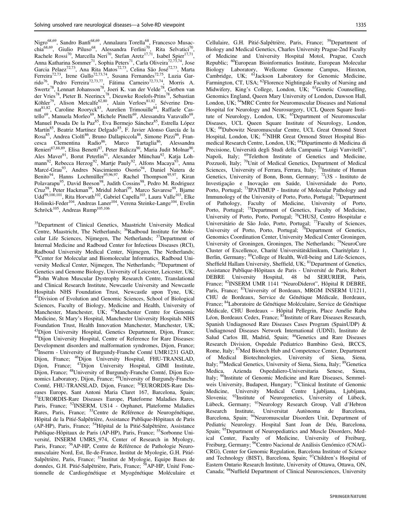Nigro<sup>68,69</sup>, Sandro Banfi<sup>68,69</sup>, Annalaura Torella<sup>68</sup>, Francesco Musacchia<sup>68,69</sup>, Giulio Piluso<sup>68</sup>, Alessandra Ferlini<sup>70</sup>, Rita Selvatici<sup>70</sup>, Rachele Rossi<sup>70</sup>, Marcella Neri<sup>70</sup>, Stefan Aretz<sup>17,71</sup>, Isabel Spier<sup>17,71</sup>, Anna Katharina Sommer<sup>71</sup>, Sophia Peters<sup>71</sup>, Carla Oliveira<sup>72,73,74</sup>, Jose Garcia Pelaez<sup>72,73</sup>, Ana Rita Matos<sup>72,73</sup>, Celina São José<sup>72,73</sup>, Marta Ferreira<sup>72,73</sup>, Irene Gullo<sup>72,73,74</sup>, Susana Fernandes<sup>72,75</sup>, Luzia Garrido<sup>76</sup>, Pedro Ferreira<sup>72,73,77</sup>, Fátima Carneiro<sup>72,73,74</sup>, Morris A. Swertz<sup>78</sup>, Lennart Johansson<sup>78</sup>, Joeri K. van der Velde<sup>78</sup>, Gerben van der Vries<sup>78</sup>, Pieter B. Neerincx<sup>78</sup>, Dieuwke Roelofs-Prins<sup>78</sup>, Sebastian Köhler<sup>79</sup>, Alison Metcalfe<sup>62,80</sup>, Alain Verloes<sup>81,82</sup>, Séverine Drunat<sup>81,82</sup>, Caroline Rooryck<sup>83</sup>, Aurelien Trimouille<sup>84</sup>, Raffaele Castello<sup>69</sup>, Manuela Morleo<sup>69</sup>, Michele Pinelli<sup>69</sup>, Alessandra Varavallo<sup>69</sup>, Manuel Posada De la Paz<sup>85</sup>, Eva Bermejo Sánchez<sup>85</sup>, Estrella López Martín<sup>85</sup>, Beatriz Martínez Delgado<sup>85</sup>, F. Javier Alonso García de la Rosa<sup>85</sup>, Andrea Ciolfi<sup>86</sup>, Bruno Dallapiccola<sup>86</sup>, Simone Pizzi<sup>86</sup>, Francesca Clementina Radio<sup>86</sup>, Marco Tartaglia<sup>86</sup>, Alessandra Renieri<sup>87,88,89</sup>, Elisa Benetti<sup>87</sup>, Peter Balicza<sup>90</sup>, Maria Judit Molnar<sup>90</sup>, Ales Maver<sup>91</sup>, Borut Peterlin<sup>91</sup>, Alexander Münchau<sup>92</sup>, Katja Lohmann<sup>92</sup>, Rebecca Herzog<sup>92</sup>, Martje Pauly<sup>92</sup>, Alfons Macaya<sup>93</sup>, Anna Marcé-Grau<sup>93</sup>, Andres Nascimiento Osorio<sup>94</sup>, Daniel Natera de Benito<sup>94</sup>, Hanns Lochmüller<sup>95,96,97</sup>, Rachel Thompson<sup>95,97</sup>, Kiran Polavarapu<sup>95</sup>, David Beeson<sup>98</sup>, Judith Cossins<sup>98</sup>, Pedro M. Rodriguez Cruz<sup>98</sup>, Peter Hackman<sup>99</sup>, Mridul Johari<sup>99</sup>, Marco Savarese<sup>99</sup>, Bjarne Udd<sup>99,100,101</sup>, Rita Horvath<sup>102</sup>, Gabriel Capella<sup>103</sup>, Laura Valle<sup>103</sup>, Elke Holinski-Feder<sup>104</sup>, Andreas Laner<sup>104</sup>, Verena Steinke-Lange<sup>104</sup>, Evelin Schröck<sup>105</sup>, Andreas Rump<sup>105,106</sup>

35Department of Clinical Genetics, Maastricht University Medical Centre, Maastricht, The Netherlands; <sup>36</sup>Radboud Institute for Molecular Life Sciences, Nijmegen, The Netherlands; <sup>37</sup>Department of Internal Medicine and Radboud Center for Infectious Diseases (RCI), Radboud University Medical Center, Nijmegen, The Netherlands; 38Center for Molecular and Biomolecular Informatics, Radboud University Medical Center, Nijmegen, The Netherlands; <sup>39</sup>Department of Genetics and Genome Biology, University of Leicester, Leicester, UK; 40John Walton Muscular Dystrophy Research Centre, Translational and Clinical Research Institute, Newcastle University and Newcastle Hospitals NHS Foundation Trust, Newcastle upon Tyne, UK; 41Division of Evolution and Genomic Sciences, School of Biological Sciences, Faculty of Biology, Medicine and Health, University of Manchester, Manchester, UK; <sup>42</sup>Manchester Centre for Genomic Medicine, St Mary's Hospital, Manchester University Hospitals NHS Foundation Trust, Health Innovation Manchester, Manchester, UK; <sup>43</sup>Dijon University Hospital, Genetics Department, Dijon, France; <sup>44</sup>Dijon University Hospital, Centre of Reference for Rare Diseases: Development disorders and malformation syndromes, Dijon, France; 45Inserm - University of Burgundy-Franche Comté UMR1231 GAD, Dijon, France; <sup>46</sup>Dijon University Hospital, FHU-TRANSLAD, Dijon, France; <sup>47</sup>Dijon University Hospital, GIMI Institute, Dijon, France; <sup>47</sup>Dijon University Hospital, GIMI Institute, Dijon, France; <sup>48</sup>University of Burgundy-Franche Comté, Dijon Economics Laboratory, Dijon, France; <sup>49</sup>University of Burgundy-Franche Comté, FHU-TRANSLAD, Dijon, France; <sup>50</sup>EURORDIS-Rare Diseases Europe, Sant Antoni Maria Claret 167, Barcelona, Spain; 51EURORDIS-Rare Diseases Europe, Plateforme Maladies Rares, Paris, France; 52INSERM, US14 - Orphanet, Plateforme Maladies Rares, Paris, France; 53Centre de Référence de Neurogénétique, Hôpital de la Pitié-Salpêtrière, Assistance Publique-Hôpitaux de Paris (AP-HP), Paris, France; 54Hôpital de la Pitié-Salpêtrière, Assistance Publique-Hôpitaux de Paris (AP-HP), Paris, France; <sup>55</sup>Sorbonne Université, INSERM UMRS\_974, Center of Research in Myology, Paris, France; 56AP-HP, Centre de Référence de Pathologie Neuromusculaire Nord, Est, Ile-de-France, Institut de Myologie, G.H. Pitié-Salpêtrière, Paris, France; 57Institut de Myologie, Equipe Bases de données, G.H. Pitié-Salpêtrière, Paris, France; <sup>58</sup>AP-HP, Unité Fonctionnelle de Cardiogénétique et Myogénétique Moléculaire et

Cellulaire, G.H. Pitié-Salpêtrière, Paris, France; 59Department of Biology and Medical Genetics, Charles University Prague-2nd Faculty of Medicine and University Hospital Motol, Prague, Czech Republic; 60European Bioinformatics Institute, European Molecular Biology Laboratory, Wellcome Genome Campus, Hinxton, Cambridge, UK; <sup>61</sup>Jackson Laboratory for Genomic Medicine, Farmington, CT, USA; <sup>62</sup>Florence Nightingale Faculty of Nursing and Midwifery, King's College, London, UK; <sup>63</sup>Genetic Counselling, Genomics England, Queen Mary University of London, Dawson Hall, London, UK; <sup>64</sup>MRC Centre for Neuromuscular Diseases and National Hospital for Neurology and Neurosurgery, UCL Queen Square Institute of Neurology, London, UK; <sup>65</sup>Department of Neuromuscular Diseases, UCL Queen Square Institute of Neurology, London, UK; 66Dubowitz Neuromuscular Centre, UCL Great Ormond Street Hospital, London, UK; <sup>67</sup>NIHR Great Ormond Street Hospital Biomedical Research Centre, London, UK; 68Dipartimento di Medicina di Precisione, Università degli Studi della Campania "Luigi Vanvitelli", Napoli, Italy; <sup>69</sup>Telethon Institute of Genetics and Medicine, Pozzuoli, Italy; 70Unit of Medical Genetics, Department of Medical Sciences, University of Ferrara, Ferrara, Italy; <sup>71</sup>Institute of Human Genetics, University of Bonn, Bonn, Germany; <sup>72</sup>i3S - Instituto de Investigação e Inovação em Saúde, Universidade do Porto, Porto, Portugal; 73IPATIMUP - Institute of Molecular Pathology and Immunology of the University of Porto, Porto, Portugal; <sup>74</sup>Department of Pathology, Faculty of Medicine, University of Porto, Porto, Portugal; <sup>75</sup>Department of Genetics, Faculty of Medicine, University of Porto, Porto, Portugal; <sup>76</sup>CHUSJ, Centro Hospitalar e Universitário de São João, Porto, Portugal; <sup>77</sup>Faculty of Sciences, University of Porto, Porto, Portugal; <sup>78</sup>Department of Genetics, Genomics Coordination Center, University Medical Center Groningen, University of Groningen, Groningen, The Netherlands; 79NeuroCure Cluster of Excellence, Charité Universitätsklinikum, Charitéplatz 1, Berlin, Germany; <sup>80</sup>College of Health, Well-being and Life-Sciences, Sheffield Hallam University, Sheffield, UK; <sup>81</sup>Department of Genetics, Assistance Publique-Hôpitaux de Paris - Université de Paris, Robert DEBRE University Hospital, 48 bd SERURIER, Paris, France; 82INSERM UMR 1141 "NeuroDiderot", Hôpital R DEBRE, Paris, France; <sup>83</sup>University of Bordeaux, MRGM INSERM U1211, CHU de Bordeaux, Service de Génétique Médicale, Bordeaux, France; 84Laboratoire de Génétique Moléculaire, Service de Génétique Médicale, CHU Bordeaux – Hôpital Pellegrin, Place Amélie Raba Léon, Bordeaux Cedex, France; <sup>85</sup>Institute of Rare Diseases Research, Spanish Undiagnosed Rare Diseases Cases Program (SpainUDP) & Undiagnosed Diseases Network International (UDNI), Instituto de Salud Carlos III, Madrid, Spain; <sup>86</sup>Genetics and Rare Diseases Research Division, Ospedale Pediatrico Bambino Gesù, IRCCS, Rome, Italy; <sup>87</sup>Med Biotech Hub and Competence Center, Department of Medical Biotechnologies, University of Siena, Siena, Italy; <sup>88</sup>Medical Genetics, University of Siena, Siena, Italy; <sup>89</sup>Genetica<br>Medica. Azienda Ospedaliero-Universitaria Senese, Siena, Medica, Azienda Ospedaliero-Universitaria Senese, Italy; <sup>90</sup>Institute of Genomic Medicine and Rare Diseases, Semmelweis University, Budapest, Hungary; <sup>91</sup>Clinical Institute of Genomic Medicine, University Medical Centre Ljubljana, Ljubljana, Slovenia; <sup>92</sup>Institute of Neurogenetics, University of Lübeck, Lübeck, Germany; <sup>93</sup>Neurology Research Group, Vall d'Hebron Research Institute, Universitat Autònoma de Barcelona, Barcelona, Spain; <sup>94</sup>Neuromuscular Disorders Unit, Department of Pediatric Neurology. Hospital Sant Joan de Déu, Barcelona, Spain; <sup>95</sup>Department of Neuropediatrics and Muscle Disorders, Medical Center, Faculty of Medicine, University of Freiburg, Freiburg, Germany; 96Centro Nacional de Análisis Genómico (CNAG-CRG), Center for Genomic Regulation, Barcelona Institute of Science and Technology (BIST), Barcelona, Spain; <sup>97</sup>Children's Hospital of Eastern Ontario Research Institute, University of Ottawa, Ottawa, ON, Canada; 98Nuffield Department of Clinical Neurosciences, University